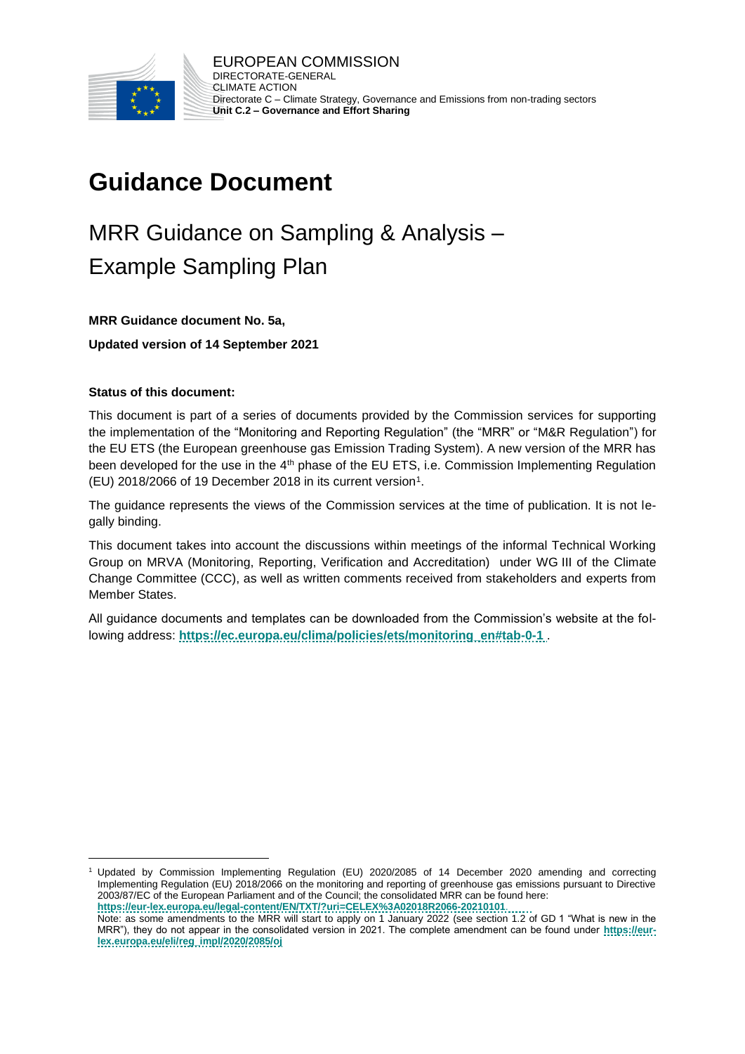

# **Guidance Document**

# MRR Guidance on Sampling & Analysis – Example Sampling Plan

#### **MRR Guidance document No. 5a,**

#### **Updated version of 14 September 2021**

#### **Status of this document:**

l

This document is part of a series of documents provided by the Commission services for supporting the implementation of the "Monitoring and Reporting Regulation" (the "MRR" or "M&R Regulation") for the EU ETS (the European greenhouse gas Emission Trading System). A new version of the MRR has been developed for the use in the 4<sup>th</sup> phase of the EU ETS, i.e. Commission Implementing Regulation (EU) 2018/2066 of 19 December 2018 in its current version<sup>1</sup>.

The guidance represents the views of the Commission services at the time of publication. It is not legally binding.

This document takes into account the discussions within meetings of the informal Technical Working Group on MRVA (Monitoring, Reporting, Verification and Accreditation) under WG III of the Climate Change Committee (CCC), as well as written comments received from stakeholders and experts from Member States.

All guidance documents and templates can be downloaded from the Commission's website at the following address: **[https://ec.europa.eu/clima/policies/ets/monitoring\\_en#tab-0-1](https://ec.europa.eu/clima/policies/ets/monitoring_en#tab-0-1)** .

<sup>1</sup> Updated by Commission Implementing Regulation (EU) 2020/2085 of 14 December 2020 amending and correcting Implementing Regulation (EU) 2018/2066 on the monitoring and reporting of greenhouse gas emissions pursuant to Directive 2003/87/EC of the European Parliament and of the Council; the consolidated MRR can be found here: **<https://eur-lex.europa.eu/legal-content/EN/TXT/?uri=CELEX%3A02018R2066-20210101>**.

Note: as some amendments to the MRR will start to apply on 1 January 2022 (see section 1.2 of GD 1 "What is new in the MRR"), they do not appear in the consolidated version in 2021. The complete amendment can be found under **[https://eur](https://eur-lex.europa.eu/eli/reg_impl/2020/2085/oj)[lex.europa.eu/eli/reg\\_impl/2020/2085/oj](https://eur-lex.europa.eu/eli/reg_impl/2020/2085/oj)**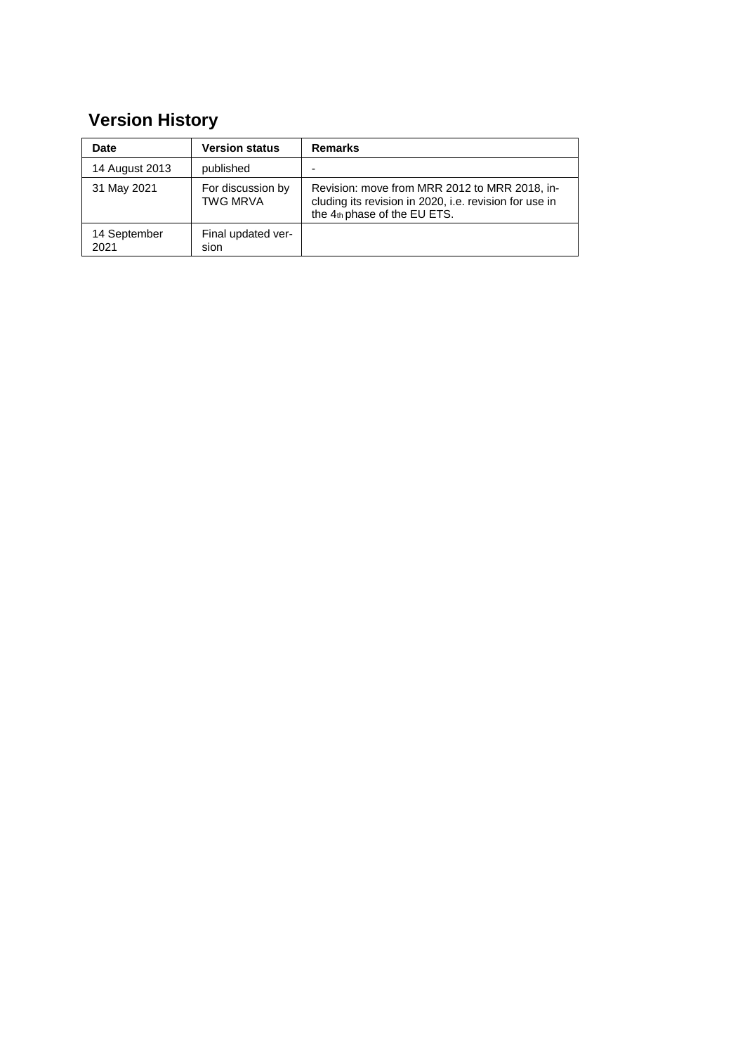## **Version History**

| Date                 | <b>Version status</b>                | <b>Remarks</b>                                                                                                                          |
|----------------------|--------------------------------------|-----------------------------------------------------------------------------------------------------------------------------------------|
| 14 August 2013       | published                            |                                                                                                                                         |
| 31 May 2021          | For discussion by<br><b>TWG MRVA</b> | Revision: move from MRR 2012 to MRR 2018, in-<br>cluding its revision in 2020, i.e. revision for use in<br>the 4th phase of the EU ETS. |
| 14 September<br>2021 | Final updated ver-<br>sion           |                                                                                                                                         |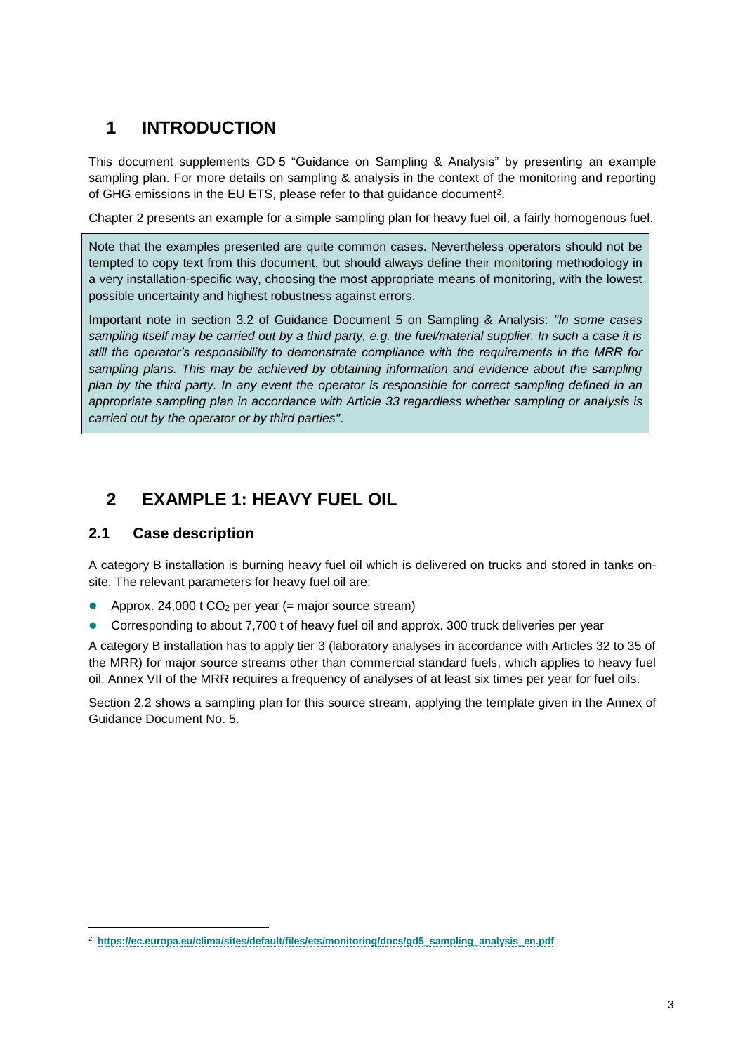## **1 INTRODUCTION**

This document supplements GD 5 "Guidance on Sampling & Analysis" by presenting an example sampling plan. For more details on sampling & analysis in the context of the monitoring and reporting of GHG emissions in the EU ETS, please refer to that guidance document<sup>2</sup>.

Chapter [2](#page-2-0) presents an example for a simple sampling plan for heavy fuel oil, a fairly homogenous fuel.

Note that the examples presented are quite common cases. Nevertheless operators should not be tempted to copy text from this document, but should always define their monitoring methodology in a very installation-specific way, choosing the most appropriate means of monitoring, with the lowest possible uncertainty and highest robustness against errors.

Important note in section 3.2 of Guidance Document 5 on Sampling & Analysis: *"In some cases sampling itself may be carried out by a third party, e.g. the fuel/material supplier. In such a case it is still the operator's responsibility to demonstrate compliance with the requirements in the MRR for sampling plans. This may be achieved by obtaining information and evidence about the sampling plan by the third party. In any event the operator is responsible for correct sampling defined in an appropriate sampling plan in accordance with Article 33 regardless whether sampling or analysis is carried out by the operator or by third parties"*.

## <span id="page-2-0"></span>**2 EXAMPLE 1: HEAVY FUEL OIL**

### **2.1 Case description**

l

A category B installation is burning heavy fuel oil which is delivered on trucks and stored in tanks onsite. The relevant parameters for heavy fuel oil are:

- Approx. 24,000  $t$  CO<sub>2</sub> per year (= major source stream)
- Corresponding to about 7,700 t of heavy fuel oil and approx. 300 truck deliveries per year

A category B installation has to apply tier 3 (laboratory analyses in accordance with Articles 32 to 35 of the MRR) for major source streams other than commercial standard fuels, which applies to heavy fuel oil. Annex VII of the MRR requires a frequency of analyses of at least six times per year for fuel oils.

<span id="page-2-1"></span>Section [2.2](#page-2-1) shows a sampling plan for this source stream, applying the template given in the Annex of Guidance Document No. 5.

<sup>2</sup> **[https://ec.europa.eu/clima/sites/default/files/ets/monitoring/docs/gd5\\_sampling\\_analysis\\_en.pdf](https://ec.europa.eu/clima/sites/default/files/ets/monitoring/docs/gd5_sampling_analysis_en.pdf)**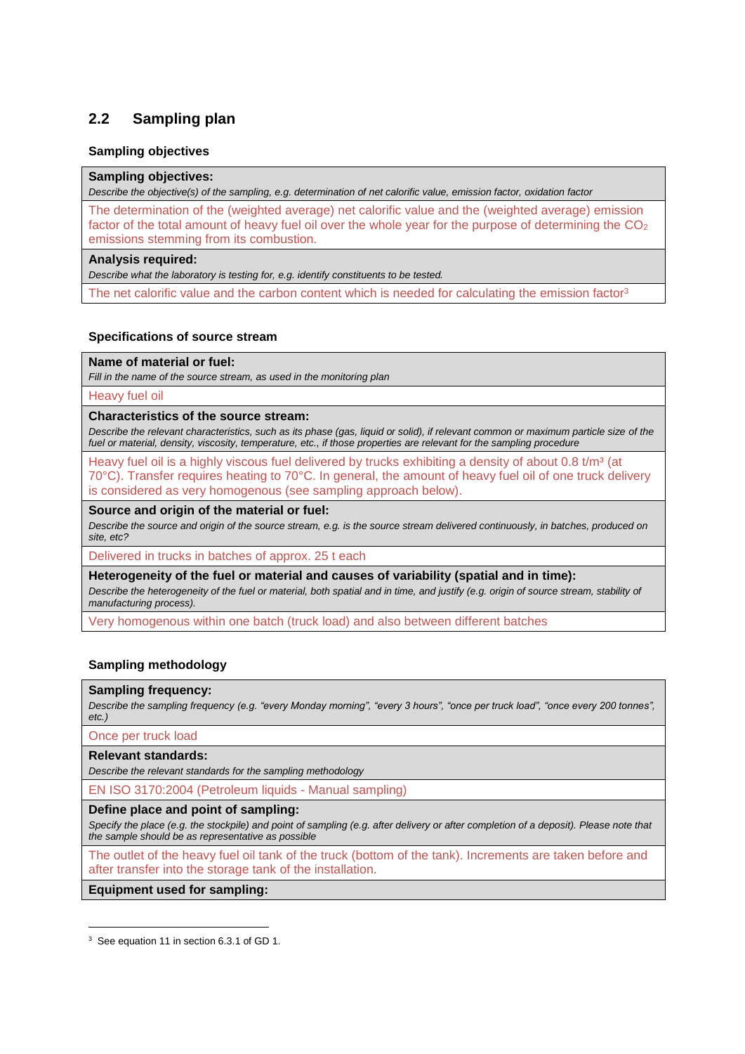### **2.2 Sampling plan**

#### **Sampling objectives**

#### **Sampling objectives:**

*Describe the objective(s) of the sampling, e.g. determination of net calorific value, emission factor, oxidation factor*

The determination of the (weighted average) net calorific value and the (weighted average) emission factor of the total amount of heavy fuel oil over the whole year for the purpose of determining the  $CO<sub>2</sub>$ emissions stemming from its combustion.

#### **Analysis required:**

*Describe what the laboratory is testing for, e.g. identify constituents to be tested.*

The net calorific value and the carbon content which is needed for calculating the emission factor<sup>3</sup>

#### **Specifications of source stream**

#### **Name of material or fuel:**

*Fill in the name of the source stream, as used in the monitoring plan*

Heavy fuel oil

#### **Characteristics of the source stream:**

*Describe the relevant characteristics, such as its phase (gas, liquid or solid), if relevant common or maximum particle size of the fuel or material, density, viscosity, temperature, etc., if those properties are relevant for the sampling procedure*

Heavy fuel oil is a highly viscous fuel delivered by trucks exhibiting a density of about 0.8  $t/m<sup>3</sup>$  (at 70°C). Transfer requires heating to 70°C. In general, the amount of heavy fuel oil of one truck delivery is considered as very homogenous (see sampling approach below).

#### **Source and origin of the material or fuel:**

*Describe the source and origin of the source stream, e.g. is the source stream delivered continuously, in batches, produced on site, etc?*

Delivered in trucks in batches of approx. 25 t each

**Heterogeneity of the fuel or material and causes of variability (spatial and in time):**

*Describe the heterogeneity of the fuel or material, both spatial and in time, and justify (e.g. origin of source stream, stability of manufacturing process).*

Very homogenous within one batch (truck load) and also between different batches

#### **Sampling methodology**

#### **Sampling frequency:**

*Describe the sampling frequency (e.g. "every Monday morning", "every 3 hours", "once per truck load", "once every 200 tonnes", etc.)*

Once per truck load

#### **Relevant standards:**

1

*Describe the relevant standards for the sampling methodology*

EN ISO 3170:2004 (Petroleum liquids - Manual sampling)

#### **Define place and point of sampling:**

*Specify the place (e.g. the stockpile) and point of sampling (e.g. after delivery or after completion of a deposit). Please note that the sample should be as representative as possible*

The outlet of the heavy fuel oil tank of the truck (bottom of the tank). Increments are taken before and after transfer into the storage tank of the installation.

**Equipment used for sampling:**

<sup>3</sup> See equation 11 in section 6.3.1 of GD 1.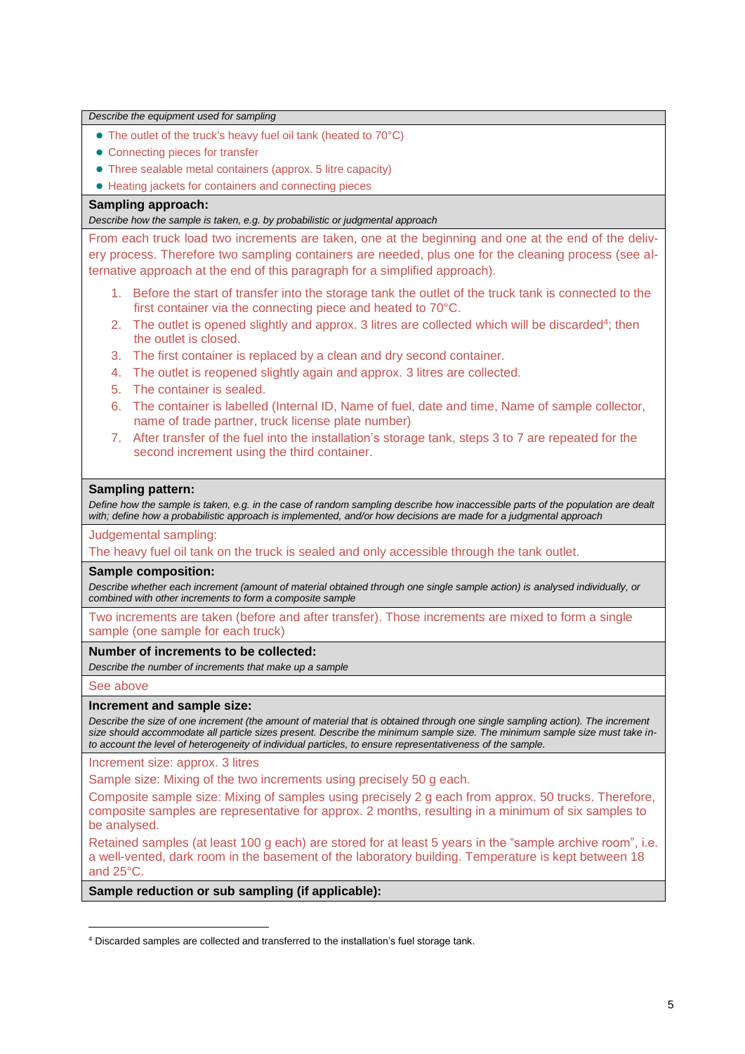| • The outlet of the truck's heavy fuel oil tank (heated to 70°C)                                                                                                                                                                                                                                                                                                                                          |  |  |
|-----------------------------------------------------------------------------------------------------------------------------------------------------------------------------------------------------------------------------------------------------------------------------------------------------------------------------------------------------------------------------------------------------------|--|--|
|                                                                                                                                                                                                                                                                                                                                                                                                           |  |  |
| • Connecting pieces for transfer                                                                                                                                                                                                                                                                                                                                                                          |  |  |
| • Three sealable metal containers (approx. 5 litre capacity)                                                                                                                                                                                                                                                                                                                                              |  |  |
| • Heating jackets for containers and connecting pieces                                                                                                                                                                                                                                                                                                                                                    |  |  |
| Sampling approach:                                                                                                                                                                                                                                                                                                                                                                                        |  |  |
| Describe how the sample is taken, e.g. by probabilistic or judgmental approach                                                                                                                                                                                                                                                                                                                            |  |  |
| From each truck load two increments are taken, one at the beginning and one at the end of the deliv-                                                                                                                                                                                                                                                                                                      |  |  |
| ery process. Therefore two sampling containers are needed, plus one for the cleaning process (see al-<br>ternative approach at the end of this paragraph for a simplified approach).                                                                                                                                                                                                                      |  |  |
| 1. Before the start of transfer into the storage tank the outlet of the truck tank is connected to the<br>first container via the connecting piece and heated to 70°C.                                                                                                                                                                                                                                    |  |  |
| The outlet is opened slightly and approx. 3 litres are collected which will be discarded <sup>4</sup> ; then<br>2.<br>the outlet is closed.                                                                                                                                                                                                                                                               |  |  |
| The first container is replaced by a clean and dry second container.<br>3.                                                                                                                                                                                                                                                                                                                                |  |  |
| The outlet is reopened slightly again and approx. 3 litres are collected.<br>4.                                                                                                                                                                                                                                                                                                                           |  |  |
| The container is sealed.<br>5.                                                                                                                                                                                                                                                                                                                                                                            |  |  |
| The container is labelled (Internal ID, Name of fuel, date and time, Name of sample collector,<br>6.<br>name of trade partner, truck license plate number)                                                                                                                                                                                                                                                |  |  |
| After transfer of the fuel into the installation's storage tank, steps 3 to 7 are repeated for the<br>7.                                                                                                                                                                                                                                                                                                  |  |  |
| second increment using the third container.                                                                                                                                                                                                                                                                                                                                                               |  |  |
| with; define how a probabilistic approach is implemented, and/or how decisions are made for a judgmental approach                                                                                                                                                                                                                                                                                         |  |  |
| Judgemental sampling:<br>The heavy fuel oil tank on the truck is sealed and only accessible through the tank outlet.                                                                                                                                                                                                                                                                                      |  |  |
| <b>Sample composition:</b>                                                                                                                                                                                                                                                                                                                                                                                |  |  |
| Describe whether each increment (amount of material obtained through one single sample action) is analysed individually, or<br>combined with other increments to form a composite sample                                                                                                                                                                                                                  |  |  |
| Two increments are taken (before and after transfer). Those increments are mixed to form a single<br>sample (one sample for each truck)                                                                                                                                                                                                                                                                   |  |  |
| Number of increments to be collected:<br>Describe the number of increments that make up a sample                                                                                                                                                                                                                                                                                                          |  |  |
| See above                                                                                                                                                                                                                                                                                                                                                                                                 |  |  |
| Increment and sample size:<br>Describe the size of one increment (the amount of material that is obtained through one single sampling action). The increment<br>size should accommodate all particle sizes present. Describe the minimum sample size. The minimum sample size must take in-<br>to account the level of heterogeneity of individual particles, to ensure representativeness of the sample. |  |  |
| Increment size: approx. 3 litres                                                                                                                                                                                                                                                                                                                                                                          |  |  |
| Sample size: Mixing of the two increments using precisely 50 g each.                                                                                                                                                                                                                                                                                                                                      |  |  |
| Composite sample size: Mixing of samples using precisely 2 g each from approx. 50 trucks. Therefore,<br>composite samples are representative for approx. 2 months, resulting in a minimum of six samples to<br>be analysed.                                                                                                                                                                               |  |  |
| Retained samples (at least 100 g each) are stored for at least 5 years in the "sample archive room", i.e.<br>a well-vented, dark room in the basement of the laboratory building. Temperature is kept between 18<br>and 25°C.                                                                                                                                                                             |  |  |
| Sample reduction or sub sampling (if applicable):                                                                                                                                                                                                                                                                                                                                                         |  |  |

l

<sup>4</sup> Discarded samples are collected and transferred to the installation's fuel storage tank.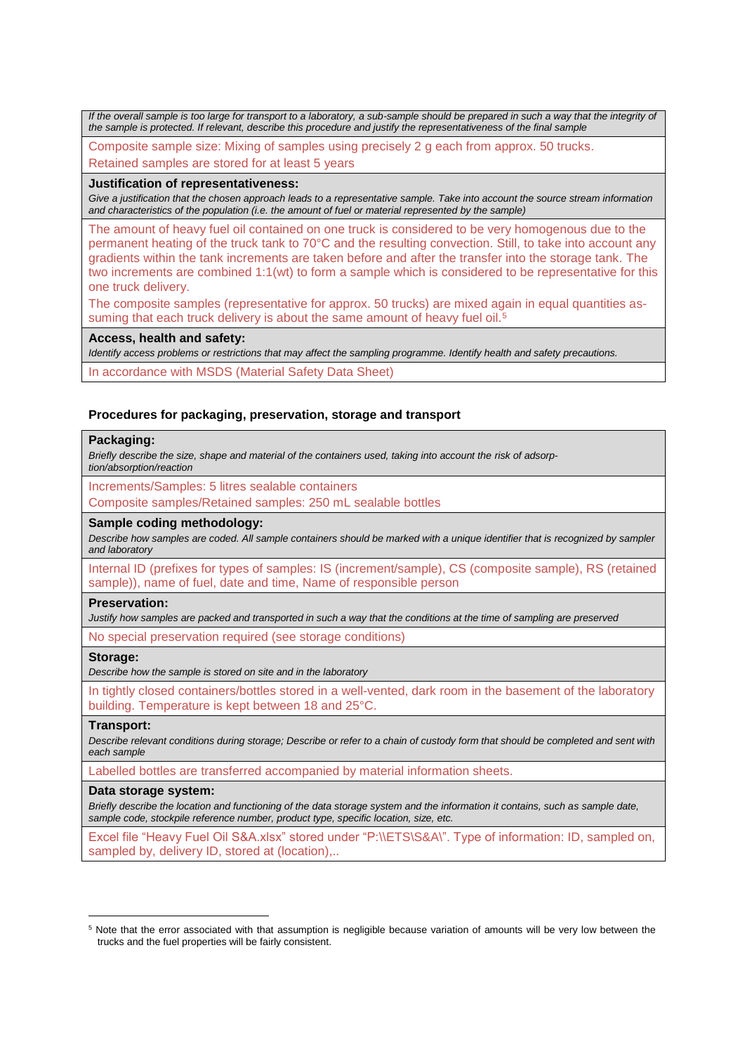*If the overall sample is too large for transport to a laboratory, a sub-sample should be prepared in such a way that the integrity of the sample is protected. If relevant, describe this procedure and justify the representativeness of the final sample*

Composite sample size: Mixing of samples using precisely 2 g each from approx. 50 trucks. Retained samples are stored for at least 5 years

#### **Justification of representativeness:**

*Give a justification that the chosen approach leads to a representative sample. Take into account the source stream information and characteristics of the population (i.e. the amount of fuel or material represented by the sample)*

The amount of heavy fuel oil contained on one truck is considered to be very homogenous due to the permanent heating of the truck tank to 70°C and the resulting convection. Still, to take into account any gradients within the tank increments are taken before and after the transfer into the storage tank. The two increments are combined 1:1(wt) to form a sample which is considered to be representative for this one truck delivery.

The composite samples (representative for approx. 50 trucks) are mixed again in equal quantities assuming that each truck delivery is about the same amount of heavy fuel oil.<sup>5</sup>

#### **Access, health and safety:**

*Identify access problems or restrictions that may affect the sampling programme. Identify health and safety precautions.*

In accordance with MSDS (Material Safety Data Sheet)

#### **Procedures for packaging, preservation, storage and transport**

#### **Packaging:**

*Briefly describe the size, shape and material of the containers used, taking into account the risk of adsorp-*

*tion/absorption/reaction*

Increments/Samples: 5 litres sealable containers

Composite samples/Retained samples: 250 mL sealable bottles

#### **Sample coding methodology:**

*Describe how samples are coded. All sample containers should be marked with a unique identifier that is recognized by sampler and laboratory*

Internal ID (prefixes for types of samples: IS (increment/sample), CS (composite sample), RS (retained sample)), name of fuel, date and time, Name of responsible person

#### **Preservation:**

*Justify how samples are packed and transported in such a way that the conditions at the time of sampling are preserved*

No special preservation required (see storage conditions)

#### **Storage:**

*Describe how the sample is stored on site and in the laboratory*

In tightly closed containers/bottles stored in a well-vented, dark room in the basement of the laboratory building. Temperature is kept between 18 and 25°C.

#### **Transport:**

1

*Describe relevant conditions during storage; Describe or refer to a chain of custody form that should be completed and sent with each sample*

Labelled bottles are transferred accompanied by material information sheets.

#### **Data storage system:**

*Briefly describe the location and functioning of the data storage system and the information it contains, such as sample date, sample code, stockpile reference number, product type, specific location, size, etc.*

Excel file "Heavy Fuel Oil S&A.xlsx" stored under "P:\\ETS\S&A\". Type of information: ID, sampled on, sampled by, delivery ID, stored at (location)...

<sup>&</sup>lt;sup>5</sup> Note that the error associated with that assumption is negligible because variation of amounts will be very low between the trucks and the fuel properties will be fairly consistent.